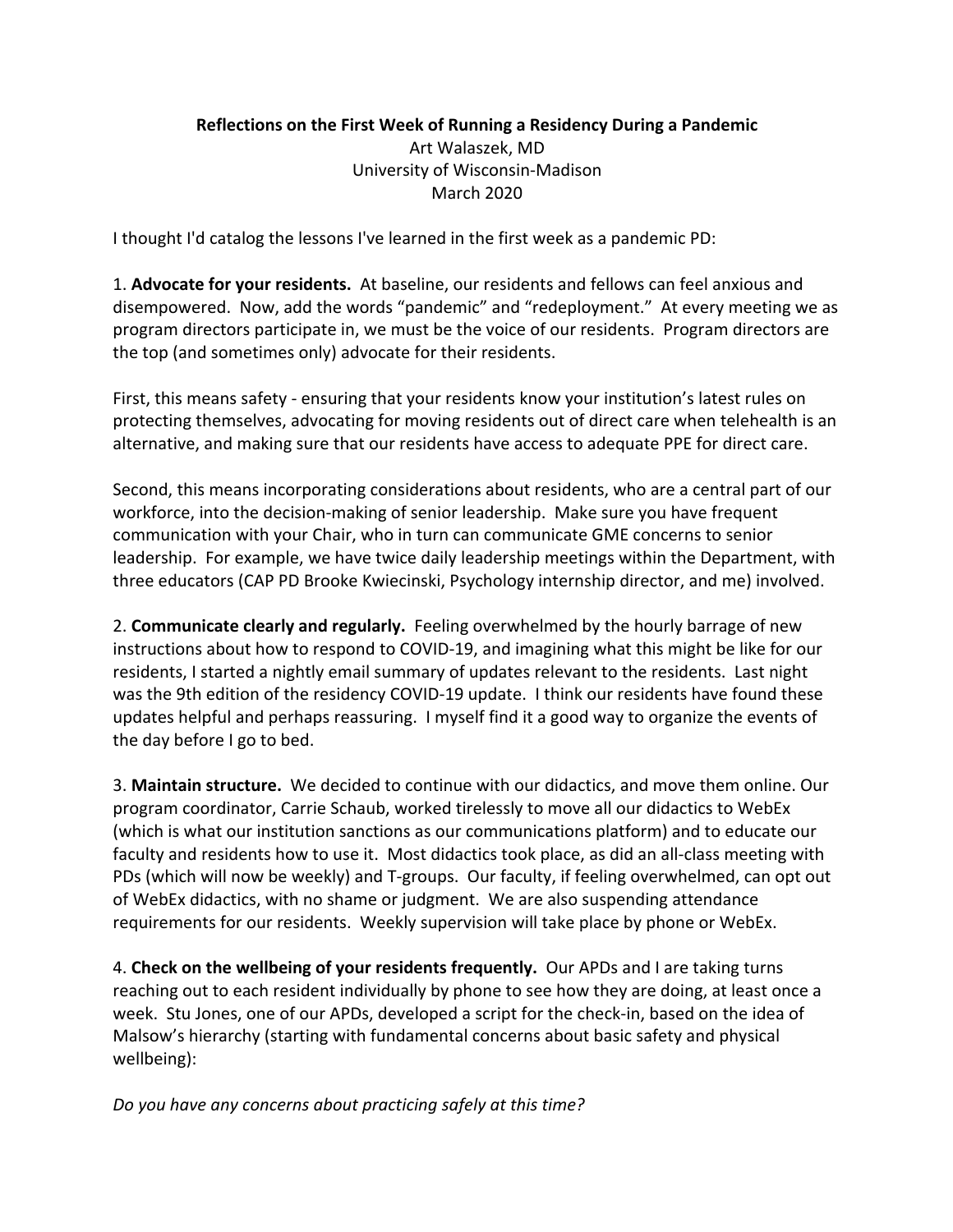## **Reflections on the First Week of Running a Residency During a Pandemic** Art Walaszek, MD University of Wisconsin-Madison March 2020

I thought I'd catalog the lessons I've learned in the first week as a pandemic PD:

1. **Advocate for your residents.** At baseline, our residents and fellows can feel anxious and disempowered. Now, add the words "pandemic" and "redeployment." At every meeting we as program directors participate in, we must be the voice of our residents. Program directors are the top (and sometimes only) advocate for their residents.

First, this means safety - ensuring that your residents know your institution's latest rules on protecting themselves, advocating for moving residents out of direct care when telehealth is an alternative, and making sure that our residents have access to adequate PPE for direct care.

Second, this means incorporating considerations about residents, who are a central part of our workforce, into the decision-making of senior leadership. Make sure you have frequent communication with your Chair, who in turn can communicate GME concerns to senior leadership. For example, we have twice daily leadership meetings within the Department, with three educators (CAP PD Brooke Kwiecinski, Psychology internship director, and me) involved.

2. **Communicate clearly and regularly.** Feeling overwhelmed by the hourly barrage of new instructions about how to respond to COVID-19, and imagining what this might be like for our residents, I started a nightly email summary of updates relevant to the residents. Last night was the 9th edition of the residency COVID-19 update. I think our residents have found these updates helpful and perhaps reassuring. I myself find it a good way to organize the events of the day before I go to bed.

3. **Maintain structure.** We decided to continue with our didactics, and move them online. Our program coordinator, Carrie Schaub, worked tirelessly to move all our didactics to WebEx (which is what our institution sanctions as our communications platform) and to educate our faculty and residents how to use it. Most didactics took place, as did an all-class meeting with PDs (which will now be weekly) and T-groups. Our faculty, if feeling overwhelmed, can opt out of WebEx didactics, with no shame or judgment. We are also suspending attendance requirements for our residents. Weekly supervision will take place by phone or WebEx.

4. **Check on the wellbeing of your residents frequently.** Our APDs and I are taking turns reaching out to each resident individually by phone to see how they are doing, at least once a week. Stu Jones, one of our APDs, developed a script for the check-in, based on the idea of Malsow's hierarchy (starting with fundamental concerns about basic safety and physical wellbeing):

*Do you have any concerns about practicing safely at this time?*